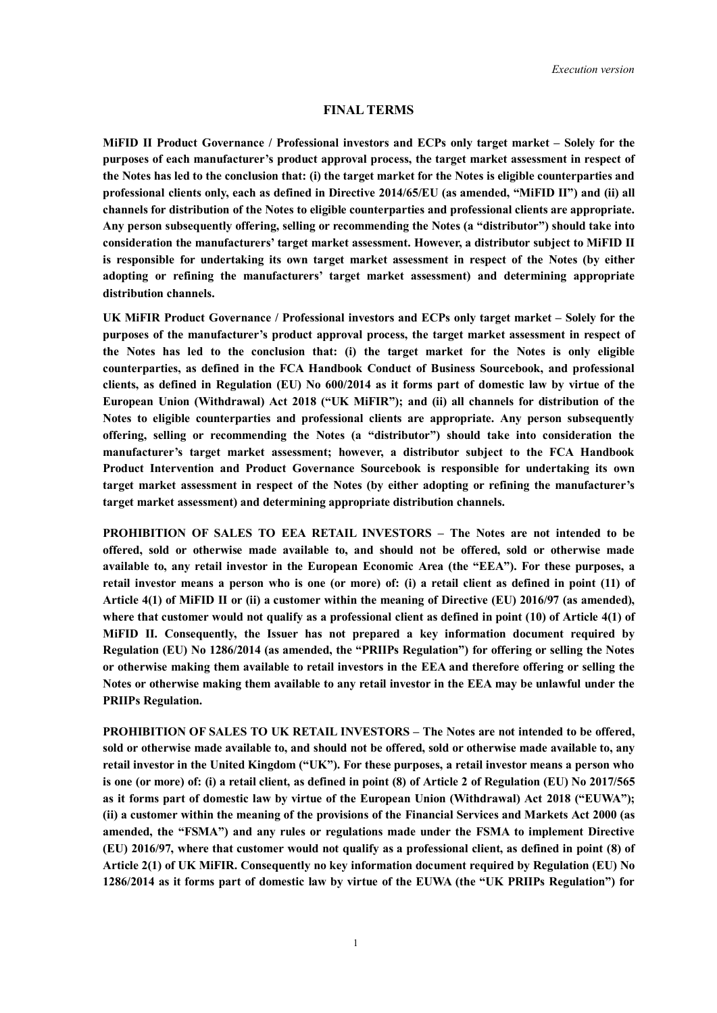#### **FINAL TERMS**

**MiFID II Product Governance / Professional investors and ECPs only target market – Solely for the purposes of each manufacturer's product approval process, the target market assessment in respect of the Notes has led to the conclusion that: (i) the target market for the Notes is eligible counterparties and professional clients only, each as defined in Directive 2014/65/EU (as amended, "MiFID II") and (ii) all channels for distribution of the Notes to eligible counterparties and professional clients are appropriate. Any person subsequently offering, selling or recommending the Notes (a "distributor") should take into consideration the manufacturers' target market assessment. However, a distributor subject to MiFID II is responsible for undertaking its own target market assessment in respect of the Notes (by either adopting or refining the manufacturers' target market assessment) and determining appropriate distribution channels.**

**UK MiFIR Product Governance / Professional investors and ECPs only target market – Solely for the purposes of the manufacturer's product approval process, the target market assessment in respect of the Notes has led to the conclusion that: (i) the target market for the Notes is only eligible counterparties, as defined in the FCA Handbook Conduct of Business Sourcebook, and professional clients, as defined in Regulation (EU) No 600/2014 as it forms part of domestic law by virtue of the European Union (Withdrawal) Act 2018 ("UK MiFIR"); and (ii) all channels for distribution of the Notes to eligible counterparties and professional clients are appropriate. Any person subsequently offering, selling or recommending the Notes (a "distributor") should take into consideration the manufacturer's target market assessment; however, a distributor subject to the FCA Handbook Product Intervention and Product Governance Sourcebook is responsible for undertaking its own target market assessment in respect of the Notes (by either adopting or refining the manufacturer's target market assessment) and determining appropriate distribution channels.**

**PROHIBITION OF SALES TO EEA RETAIL INVESTORS – The Notes are not intended to be offered, sold or otherwise made available to, and should not be offered, sold or otherwise made available to, any retail investor in the European Economic Area (the "EEA"). For these purposes, a retail investor means a person who is one (or more) of: (i) a retail client as defined in point (11) of Article 4(1) of MiFID II or (ii) a customer within the meaning of Directive (EU) 2016/97 (as amended), where that customer would not qualify as a professional client as defined in point (10) of Article 4(1) of MiFID II. Consequently, the Issuer has not prepared a key information document required by Regulation (EU) No 1286/2014 (as amended, the "PRIIPs Regulation") for offering or selling the Notes or otherwise making them available to retail investors in the EEA and therefore offering or selling the Notes or otherwise making them available to any retail investor in the EEA may be unlawful under the PRIIPs Regulation.**

**PROHIBITION OF SALES TO UK RETAIL INVESTORS – The Notes are not intended to be offered, sold or otherwise made available to, and should not be offered, sold or otherwise made available to, any retail investor in the United Kingdom ("UK"). For these purposes, a retail investor means a person who is one (or more) of: (i) a retail client, as defined in point (8) of Article 2 of Regulation (EU) No 2017/565 as it forms part of domestic law by virtue of the European Union (Withdrawal) Act 2018 ("EUWA"); (ii) a customer within the meaning of the provisions of the Financial Services and Markets Act 2000 (as amended, the "FSMA") and any rules or regulations made under the FSMA to implement Directive (EU) 2016/97, where that customer would not qualify as a professional client, as defined in point (8) of Article 2(1) of UK MiFIR. Consequently no key information document required by Regulation (EU) No 1286/2014 as it forms part of domestic law by virtue of the EUWA (the "UK PRIIPs Regulation") for**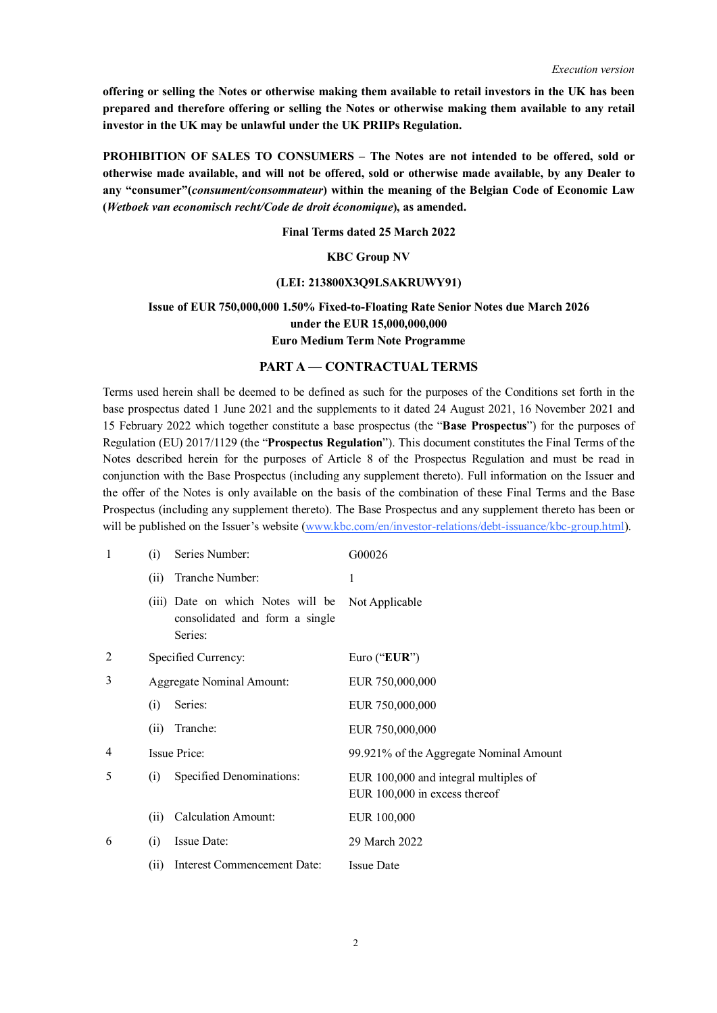**offering or selling the Notes or otherwise making them available to retail investors in the UK has been prepared and therefore offering or selling the Notes or otherwise making them available to any retail investor in the UK may be unlawful under the UK PRIIPs Regulation.**

**PROHIBITION OF SALES TO CONSUMERS – The Notes are not intended to be offered, sold or otherwise made available, and will not be offered, sold or otherwise made available, by any Dealer to any "consumer"(***consument/consommateur***) within the meaning of the Belgian Code of Economic Law (***Wetboek van economisch recht/Code de droit économique***), as amended.**

#### **Final Terms dated 25 March 2022**

## **KBC Group NV**

#### **(LEI: 213800X3Q9LSAKRUWY91)**

## **Issue of EUR 750,000,000 1.50% Fixed-to-Floating Rate Senior Notes due March 2026 under the EUR 15,000,000,000 Euro Medium Term Note Programme**

#### **PART A — CONTRACTUAL TERMS**

Terms used herein shall be deemed to be defined as such for the purposes of the Conditions set forth in the base prospectus dated 1 June 2021 and the supplements to it dated 24 August 2021, 16 November 2021 and 15 February 2022 which together constitute a base prospectus (the "**Base Prospectus**") for the purposes of Regulation (EU) 2017/1129 (the "**Prospectus Regulation**"). This document constitutes the Final Terms of the Notes described herein for the purposes of Article 8 of the Prospectus Regulation and must be read in conjunction with the Base Prospectus (including any supplement thereto). Full information on the Issuer and the offer of the Notes is only available on the basis of the combination of these Final Terms and the Base Prospectus (including any supplement thereto). The Base Prospectus and any supplement thereto has been or will be published on the Issuer's website (www.kbc.com/en/investor-relations/debt-issuance/kbc-group.html).

| $\mathbf{1}$   | (i)  | Series Number:                                                                 | G00026                                                                 |
|----------------|------|--------------------------------------------------------------------------------|------------------------------------------------------------------------|
|                | (i)  | Tranche Number:                                                                | 1                                                                      |
|                |      | (iii) Date on which Notes will be<br>consolidated and form a single<br>Series: | Not Applicable                                                         |
| $\overline{2}$ |      | Specified Currency:                                                            | Euro (" $EUR$ ")                                                       |
| 3              |      | <b>Aggregate Nominal Amount:</b>                                               | EUR 750,000,000                                                        |
|                | (i)  | Series:                                                                        | EUR 750,000,000                                                        |
|                | (i)  | Tranche:                                                                       | EUR 750,000,000                                                        |
| 4              |      | Issue Price:                                                                   | 99.921% of the Aggregate Nominal Amount                                |
| 5              | (i)  | Specified Denominations:                                                       | EUR 100,000 and integral multiples of<br>EUR 100,000 in excess thereof |
|                | (11) | <b>Calculation Amount:</b>                                                     | EUR 100,000                                                            |
| 6              | (i)  | Issue Date:                                                                    | 29 March 2022                                                          |
|                | (i)  | Interest Commencement Date:                                                    | <b>Issue Date</b>                                                      |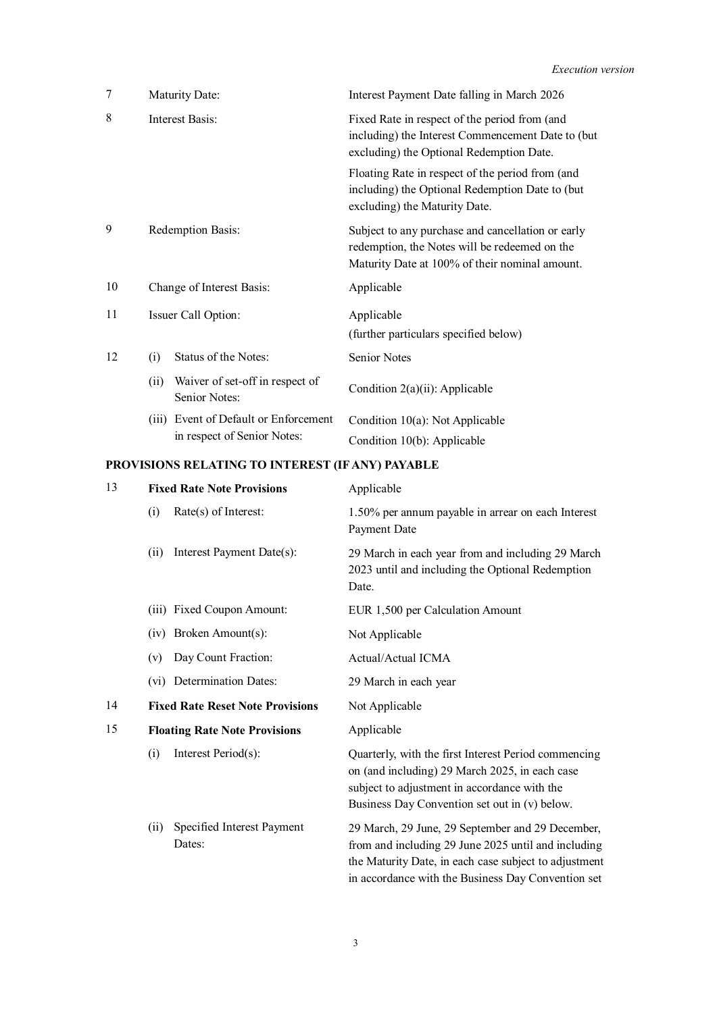| 7  | Maturity Date:                                           | Interest Payment Date falling in March 2026                                                                                                          |
|----|----------------------------------------------------------|------------------------------------------------------------------------------------------------------------------------------------------------------|
| 8  | Interest Basis:                                          | Fixed Rate in respect of the period from (and<br>including) the Interest Commencement Date to (but<br>excluding) the Optional Redemption Date.       |
|    |                                                          | Floating Rate in respect of the period from (and<br>including) the Optional Redemption Date to (but<br>excluding) the Maturity Date.                 |
| 9  | Redemption Basis:                                        | Subject to any purchase and cancellation or early<br>redemption, the Notes will be redeemed on the<br>Maturity Date at 100% of their nominal amount. |
| 10 | Change of Interest Basis:                                | Applicable                                                                                                                                           |
| 11 | Issuer Call Option:                                      | Applicable<br>(further particulars specified below)                                                                                                  |
| 12 | Status of the Notes:<br>(i)                              | <b>Senior Notes</b>                                                                                                                                  |
|    | Waiver of set-off in respect of<br>(ii)<br>Senior Notes: | Condition $2(a)(ii)$ : Applicable                                                                                                                    |
|    | Event of Default or Enforcement<br>(iii)                 | Condition $10(a)$ : Not Applicable                                                                                                                   |
|    | in respect of Senior Notes:                              | Condition 10(b): Applicable                                                                                                                          |

# **PROVISIONS RELATING TO INTEREST (IF ANY) PAYABLE**

| 13 | <b>Fixed Rate Note Provisions</b>           | Applicable                                                                                                                                                                                                             |
|----|---------------------------------------------|------------------------------------------------------------------------------------------------------------------------------------------------------------------------------------------------------------------------|
|    | (i)<br>Rate(s) of Interest:                 | 1.50% per annum payable in arrear on each Interest<br>Payment Date                                                                                                                                                     |
|    | Interest Payment Date(s):<br>(i)            | 29 March in each year from and including 29 March<br>2023 until and including the Optional Redemption<br>Date.                                                                                                         |
|    | <b>Fixed Coupon Amount:</b><br>(iii)        | EUR 1,500 per Calculation Amount                                                                                                                                                                                       |
|    | Broken Amount(s):<br>(iv)                   | Not Applicable                                                                                                                                                                                                         |
|    | Day Count Fraction:<br>(v)                  | Actual/Actual ICMA                                                                                                                                                                                                     |
|    | (vi) Determination Dates:                   | 29 March in each year                                                                                                                                                                                                  |
| 14 | <b>Fixed Rate Reset Note Provisions</b>     | Not Applicable                                                                                                                                                                                                         |
| 15 | <b>Floating Rate Note Provisions</b>        | Applicable                                                                                                                                                                                                             |
|    | Interest Period(s):<br>(i)                  | Quarterly, with the first Interest Period commencing<br>on (and including) 29 March 2025, in each case<br>subject to adjustment in accordance with the<br>Business Day Convention set out in (v) below.                |
|    | Specified Interest Payment<br>(i)<br>Dates: | 29 March, 29 June, 29 September and 29 December,<br>from and including 29 June 2025 until and including<br>the Maturity Date, in each case subject to adjustment<br>in accordance with the Business Day Convention set |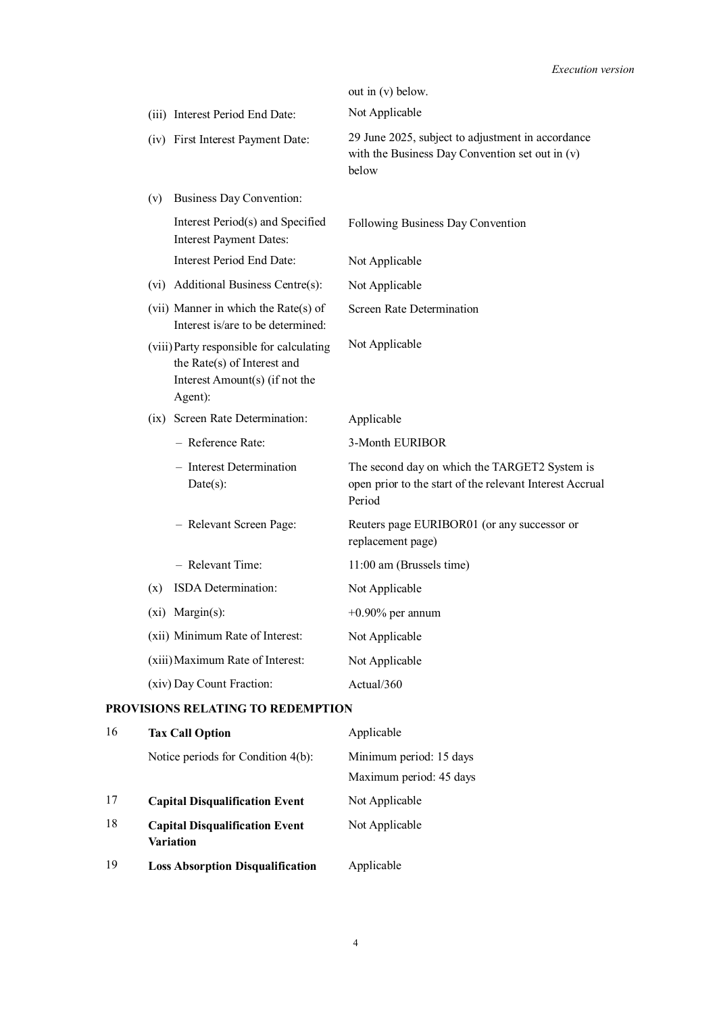|                                                                                                                      | out in (v) below.                                                                                                   |
|----------------------------------------------------------------------------------------------------------------------|---------------------------------------------------------------------------------------------------------------------|
| (iii) Interest Period End Date:                                                                                      | Not Applicable                                                                                                      |
| (iv) First Interest Payment Date:                                                                                    | 29 June 2025, subject to adjustment in accordance<br>with the Business Day Convention set out in $(v)$<br>below     |
| Business Day Convention:<br>(v)                                                                                      |                                                                                                                     |
| Interest Period(s) and Specified<br><b>Interest Payment Dates:</b>                                                   | Following Business Day Convention                                                                                   |
| Interest Period End Date:                                                                                            | Not Applicable                                                                                                      |
| Additional Business Centre(s):<br>(vi)                                                                               | Not Applicable                                                                                                      |
| (vii) Manner in which the Rate(s) of<br>Interest is/are to be determined:                                            | Screen Rate Determination                                                                                           |
| (viii) Party responsible for calculating<br>the Rate(s) of Interest and<br>Interest Amount(s) (if not the<br>Agent): | Not Applicable                                                                                                      |
| Screen Rate Determination:<br>(ix)                                                                                   | Applicable                                                                                                          |
| - Reference Rate:                                                                                                    | 3-Month EURIBOR                                                                                                     |
| - Interest Determination<br>$Date(s)$ :                                                                              | The second day on which the TARGET2 System is<br>open prior to the start of the relevant Interest Accrual<br>Period |
| - Relevant Screen Page:                                                                                              | Reuters page EURIBOR01 (or any successor or<br>replacement page)                                                    |
| - Relevant Time:                                                                                                     | 11:00 am (Brussels time)                                                                                            |
| ISDA Determination:<br>(x)                                                                                           | Not Applicable                                                                                                      |
| $(xi)$ Margin(s):                                                                                                    | $+0.90\%$ per annum                                                                                                 |
| (xii) Minimum Rate of Interest:                                                                                      | Not Applicable                                                                                                      |
| (xiii) Maximum Rate of Interest:                                                                                     | Not Applicable                                                                                                      |
| (xiv) Day Count Fraction:                                                                                            | Actual/ $360$                                                                                                       |

## **PROVISIONS RELATING TO REDEMPTION**

| 16 | <b>Tax Call Option</b>                             | Applicable              |
|----|----------------------------------------------------|-------------------------|
|    | Notice periods for Condition 4(b):                 | Minimum period: 15 days |
|    |                                                    | Maximum period: 45 days |
| 17 | <b>Capital Disqualification Event</b>              | Not Applicable          |
| 18 | <b>Capital Disqualification Event</b><br>Variation | Not Applicable          |
| 19 | <b>Loss Absorption Disqualification</b>            | Applicable              |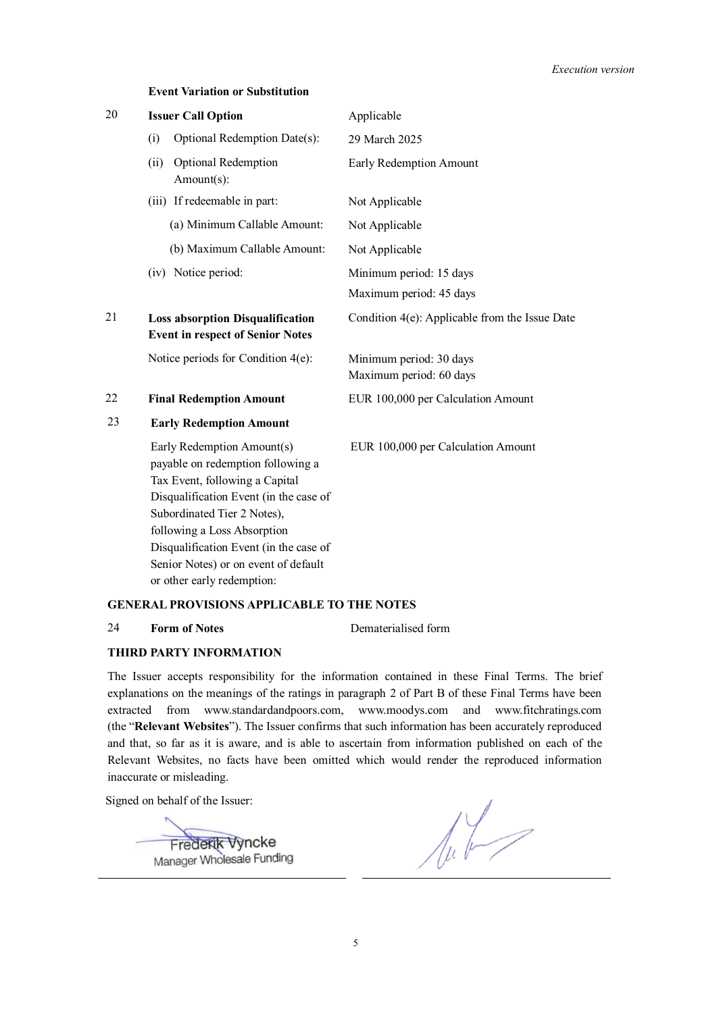## **Event Variation or Substitution**

| 20 | <b>Issuer Call Option</b>                                                                                                                                                                                                                                                                                                 | Applicable                                         |
|----|---------------------------------------------------------------------------------------------------------------------------------------------------------------------------------------------------------------------------------------------------------------------------------------------------------------------------|----------------------------------------------------|
|    | Optional Redemption Date(s):<br>(i)                                                                                                                                                                                                                                                                                       | 29 March 2025                                      |
|    | Optional Redemption<br>(ii)<br>Amount(s):                                                                                                                                                                                                                                                                                 | Early Redemption Amount                            |
|    | (iii) If redeemable in part:                                                                                                                                                                                                                                                                                              | Not Applicable                                     |
|    | (a) Minimum Callable Amount:                                                                                                                                                                                                                                                                                              | Not Applicable                                     |
|    | (b) Maximum Callable Amount:                                                                                                                                                                                                                                                                                              | Not Applicable                                     |
|    | (iv) Notice period:                                                                                                                                                                                                                                                                                                       | Minimum period: 15 days<br>Maximum period: 45 days |
| 21 | <b>Loss absorption Disqualification</b><br><b>Event in respect of Senior Notes</b>                                                                                                                                                                                                                                        | Condition 4(e): Applicable from the Issue Date     |
|    | Notice periods for Condition $4(e)$ :                                                                                                                                                                                                                                                                                     | Minimum period: 30 days<br>Maximum period: 60 days |
| 22 | <b>Final Redemption Amount</b>                                                                                                                                                                                                                                                                                            | EUR 100,000 per Calculation Amount                 |
| 23 | <b>Early Redemption Amount</b>                                                                                                                                                                                                                                                                                            |                                                    |
|    | Early Redemption Amount(s)<br>payable on redemption following a<br>Tax Event, following a Capital<br>Disqualification Event (in the case of<br>Subordinated Tier 2 Notes),<br>following a Loss Absorption<br>Disqualification Event (in the case of<br>Senior Notes) or on event of default<br>or other early redemption: | EUR 100,000 per Calculation Amount                 |

## **GENERAL PROVISIONS APPLICABLE TO THE NOTES**

## 24 **Form of Notes** Dematerialised form

## **THIRD PARTY INFORMATION**

The Issuer accepts responsibility for the information contained in these Final Terms. The brief explanations on the meanings of the ratings in paragraph 2 of Part B of these Final Terms have been extracted from www.standardandpoors.com, www.moodys.com and www.fitchratings.com (the "**Relevant Websites**"). The Issuer confirms that such information has been accurately reproduced and that, so far as it is aware, and is able to ascertain from information published on each of the Relevant Websites, no facts have been omitted which would render the reproduced information inaccurate or misleading.

Signed on behalf of the Issuer:

Frederik Vyncke Manager Wholesale Funding

 $\sqrt{u^2}$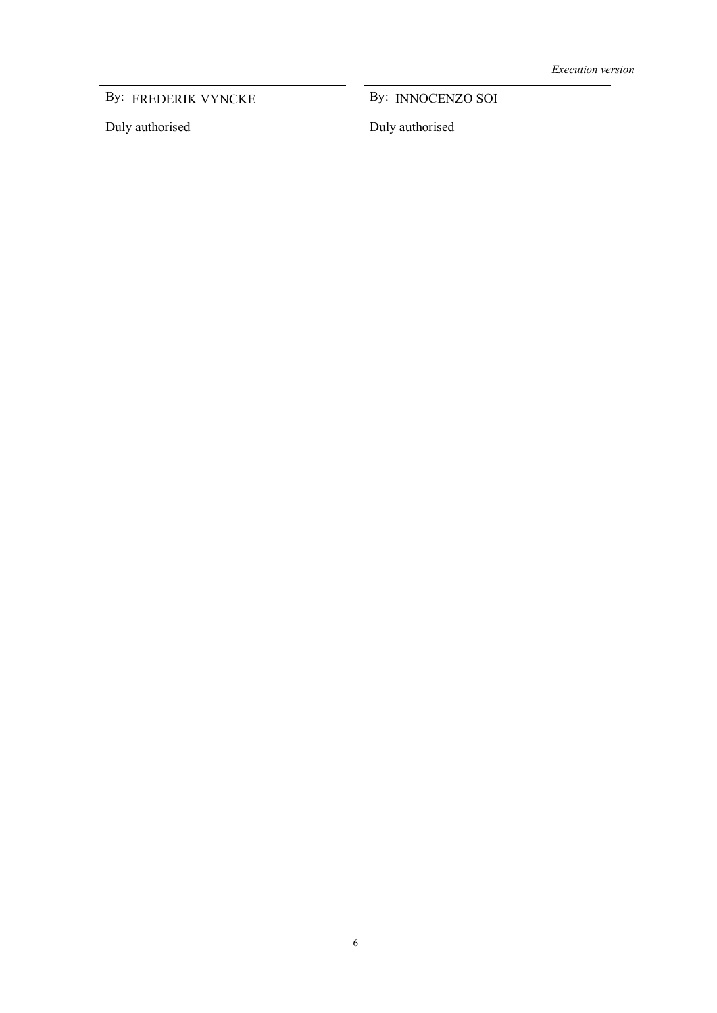By: FREDERIK VYNCKE By: INNOCENZO SOI

Duly authorised

By: INNOCENZO SOI

Duly authorised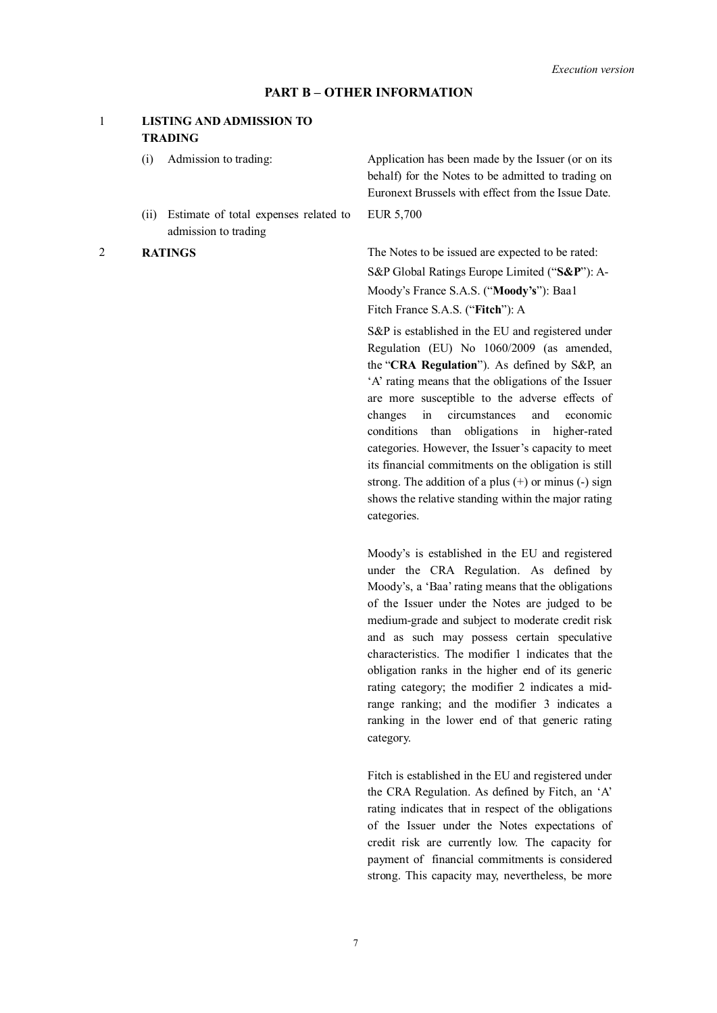#### **PART B – OTHER INFORMATION**

## 1 **LISTING AND ADMISSION TO TRADING**

- 
- (ii) Estimate of total expenses related to admission to trading

(i) Admission to trading: Application has been made by the Issuer (or on its behalf) for the Notes to be admitted to trading on Euronext Brussels with effect from the Issue Date. EUR 5,700

2 **RATINGS** The Notes to be issued are expected to be rated: S&P Global Ratings Europe Limited ("**S&P**"): A-Moody's France S.A.S. ("**Moody's**"): Baa1

Fitch France S.A.S. ("**Fitch**"): A

S&P is established in the EU and registered under Regulation (EU) No 1060/2009 (as amended, the "**CRA Regulation**"). As defined by S&P, an 'A' rating means that the obligations of the Issuer are more susceptible to the adverse effects of changes in circumstances and economic conditions than obligations in higher-rated categories. However, the Issuer's capacity to meet its financial commitments on the obligation is still strong. The addition of a plus  $(+)$  or minus  $(-)$  sign shows the relative standing within the major rating categories.

Moody's is established in the EU and registered under the CRA Regulation. As defined by Moody's, a 'Baa' rating means that the obligations of the Issuer under the Notes are judged to be medium-grade and subject to moderate credit risk and as such may possess certain speculative characteristics. The modifier 1 indicates that the obligation ranks in the higher end of its generic rating category; the modifier 2 indicates a midrange ranking; and the modifier 3 indicates a ranking in the lower end of that generic rating category.

Fitch is established in the EU and registered under the CRA Regulation. As defined by Fitch, an 'A' rating indicates that in respect of the obligations of the Issuer under the Notes expectations of credit risk are currently low. The capacity for payment of financial commitments is considered strong. This capacity may, nevertheless, be more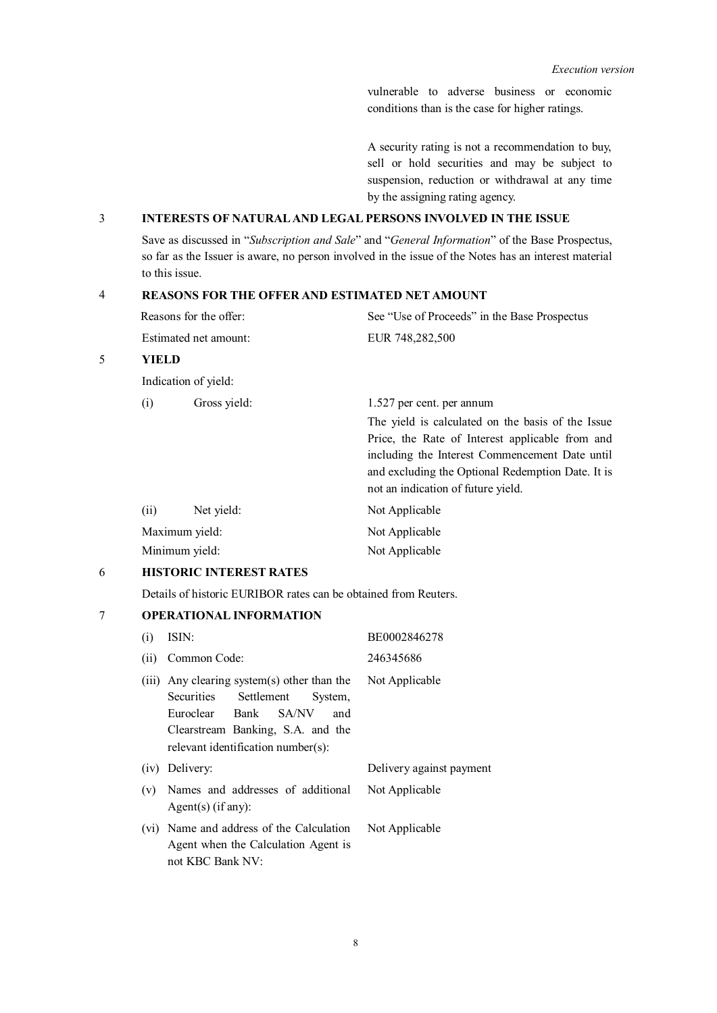vulnerable to adverse business or economic conditions than is the case for higher ratings.

A security rating is not a recommendation to buy, sell or hold securities and may be subject to suspension, reduction or withdrawal at any time by the assigning rating agency.

## 3 **INTERESTS OF NATURAL AND LEGAL PERSONS INVOLVED IN THE ISSUE**

Save as discussed in "*Subscription and Sale*" and "*General Information*" of the Base Prospectus, so far as the Issuer is aware, no person involved in the issue of the Notes has an interest material to this issue.

## 4 **REASONS FOR THE OFFER AND ESTIMATED NET AMOUNT**

| Reasons for the offer: | See "Use of Proceeds" in the Base Prospectus |
|------------------------|----------------------------------------------|
| Estimated net amount:  | EUR 748,282,500                              |

## 5 **YIELD**

Indication of yield:

| (i)            | Gross yield: | 1.527 per cent. per annum                         |
|----------------|--------------|---------------------------------------------------|
|                |              | The yield is calculated on the basis of the Issue |
|                |              | Price, the Rate of Interest applicable from and   |
|                |              | including the Interest Commencement Date until    |
|                |              | and excluding the Optional Redemption Date. It is |
|                |              | not an indication of future yield.                |
| (i)            | Net yield:   | Not Applicable                                    |
| Maximum yield: |              | Not Applicable                                    |
| Minimum yield: |              | Not Applicable                                    |

## 6 **HISTORIC INTEREST RATES**

Details of historic EURIBOR rates can be obtained from Reuters.

## 7 **OPERATIONAL INFORMATION**

| (i)  | ISIN:                                                                                                                                                                                           | BE0002846278             |
|------|-------------------------------------------------------------------------------------------------------------------------------------------------------------------------------------------------|--------------------------|
| (ii) | Common Code:                                                                                                                                                                                    | 246345686                |
|      | (iii) Any clearing system(s) other than the<br>Securities<br>Settlement<br>System.<br>Bank SA/NV<br>Euroclear<br>and<br>Clearstream Banking, S.A. and the<br>relevant identification number(s): | Not Applicable           |
|      | (iv) Delivery:                                                                                                                                                                                  | Delivery against payment |
| (v)  | Names and addresses of additional<br>Agent(s) $(if any)$ :                                                                                                                                      | Not Applicable           |
|      | (vi) Name and address of the Calculation<br>Agent when the Calculation Agent is<br>not KBC Bank NV:                                                                                             | Not Applicable           |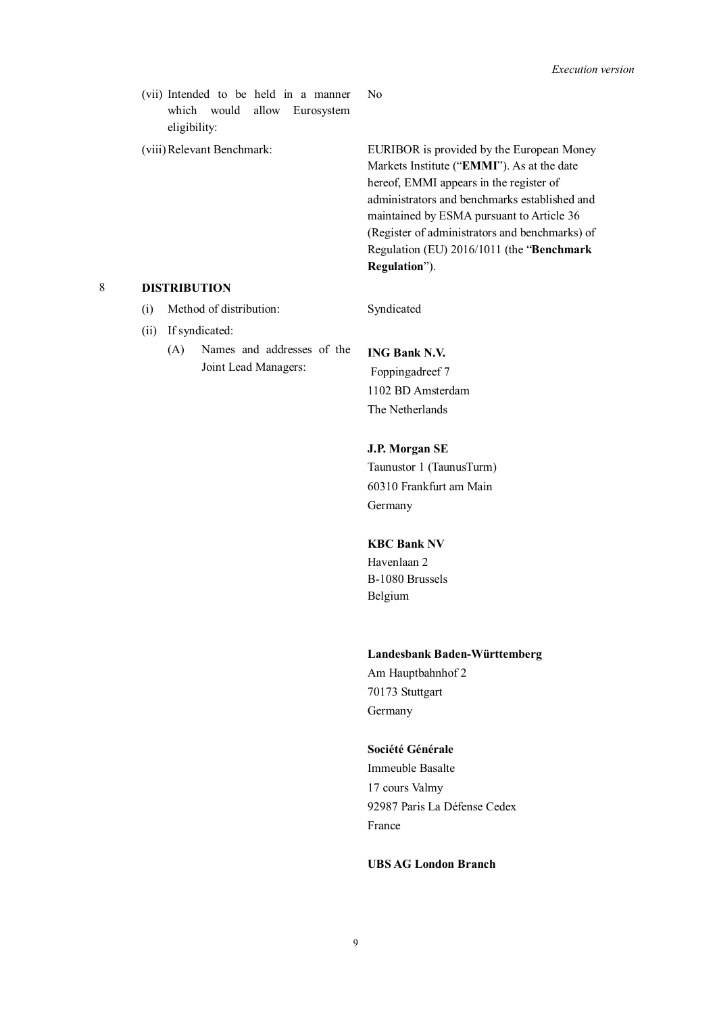(vii) Intended to be held in a manner which would allow Eurosystem eligibility:

No

(viii)Relevant Benchmark: EURIBOR is provided by the European Money Markets Institute ("**EMMI**"). As at the date hereof, EMMI appears in the register of administrators and benchmarks established and maintained by ESMA pursuant to Article 36 (Register of administrators and benchmarks) of Regulation (EU) 2016/1011 (the "**Benchmark Regulation**").

#### 8 **DISTRIBUTION**

- (i) Method of distribution: Syndicated
- (ii) If syndicated:
	- (A) Names and addresses of the Joint Lead Managers:

## **ING Bank N.V.**

Foppingadreef 7 1102 BD Amsterdam The Netherlands

## **J.P. Morgan SE**

Taunustor 1 (TaunusTurm) 60310 Frankfurt am Main Germany

## **KBC Bank NV**

Havenlaan 2 B-1080 Brussels Belgium

#### **Landesbank Baden-Württemberg**

Am Hauptbahnhof 2 70173 Stuttgart Germany

#### **Société Générale**

Immeuble Basalte 17 cours Valmy 92987 Paris La Défense Cedex France

## **UBS AG London Branch**